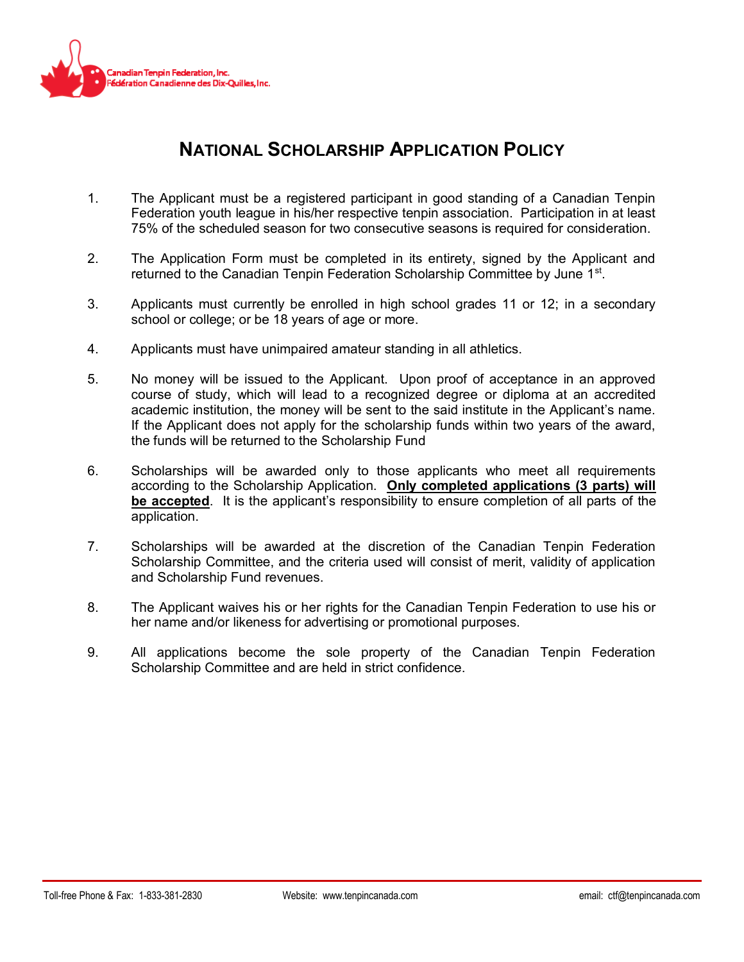

### **NATIONAL SCHOLARSHIP APPLICATION POLICY**

- 1. The Applicant must be a registered participant in good standing of a Canadian Tenpin Federation youth league in his/her respective tenpin association. Participation in at least 75% of the scheduled season for two consecutive seasons is required for consideration.
- 2. The Application Form must be completed in its entirety, signed by the Applicant and returned to the Canadian Tenpin Federation Scholarship Committee by June 1<sup>st</sup>.
- 3. Applicants must currently be enrolled in high school grades 11 or 12; in a secondary school or college; or be 18 years of age or more.
- 4. Applicants must have unimpaired amateur standing in all athletics.
- 5. No money will be issued to the Applicant. Upon proof of acceptance in an approved course of study, which will lead to a recognized degree or diploma at an accredited academic institution, the money will be sent to the said institute in the Applicant's name. If the Applicant does not apply for the scholarship funds within two years of the award, the funds will be returned to the Scholarship Fund
- 6. Scholarships will be awarded only to those applicants who meet all requirements according to the Scholarship Application. **Only completed applications (3 parts) will be accepted**. It is the applicant's responsibility to ensure completion of all parts of the application.
- 7. Scholarships will be awarded at the discretion of the Canadian Tenpin Federation Scholarship Committee, and the criteria used will consist of merit, validity of application and Scholarship Fund revenues.
- 8. The Applicant waives his or her rights for the Canadian Tenpin Federation to use his or her name and/or likeness for advertising or promotional purposes.
- 9. All applications become the sole property of the Canadian Tenpin Federation Scholarship Committee and are held in strict confidence.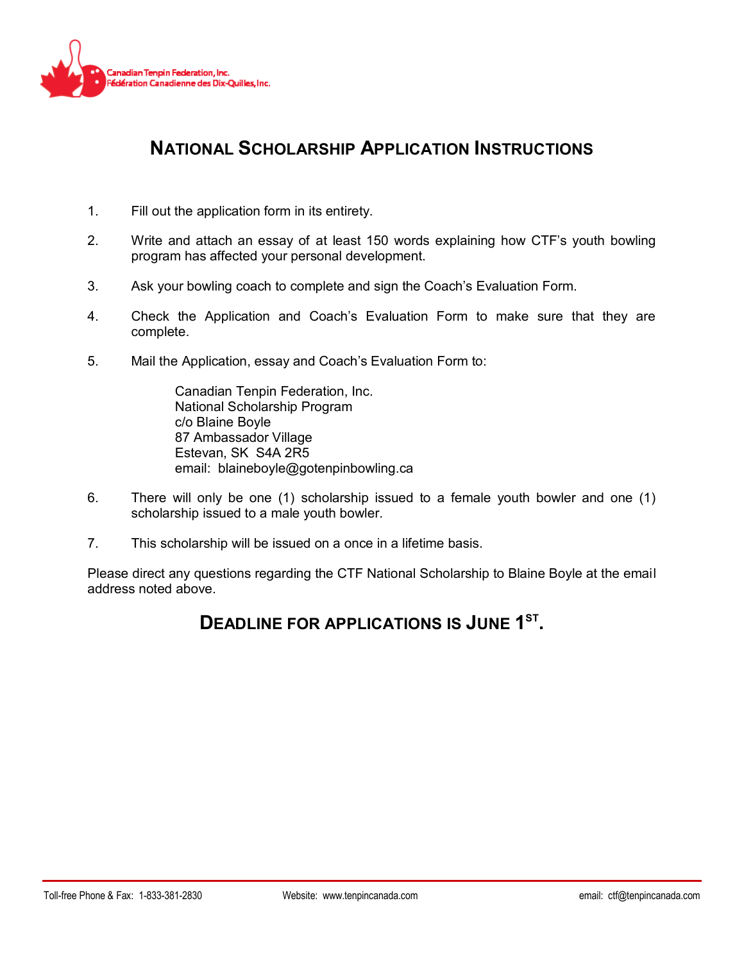

## **NATIONAL SCHOLARSHIP APPLICATION INSTRUCTIONS**

- 1. Fill out the application form in its entirety.
- 2. Write and attach an essay of at least 150 words explaining how CTF's youth bowling program has affected your personal development.
- 3. Ask your bowling coach to complete and sign the Coach's Evaluation Form.
- 4. Check the Application and Coach's Evaluation Form to make sure that they are complete.
- 5. Mail the Application, essay and Coach's Evaluation Form to:

Canadian Tenpin Federation, Inc. National Scholarship Program c/o Blaine Boyle 87 Ambassador Village Estevan, SK S4A 2R5 email: blaineboyle@gotenpinbowling.ca

- 6. There will only be one (1) scholarship issued to a female youth bowler and one (1) scholarship issued to a male youth bowler.
- 7. This scholarship will be issued on a once in a lifetime basis.

Please direct any questions regarding the CTF National Scholarship to Blaine Boyle at the email address noted above.

### **DEADLINE FOR APPLICATIONS IS JUNE 1 ST .**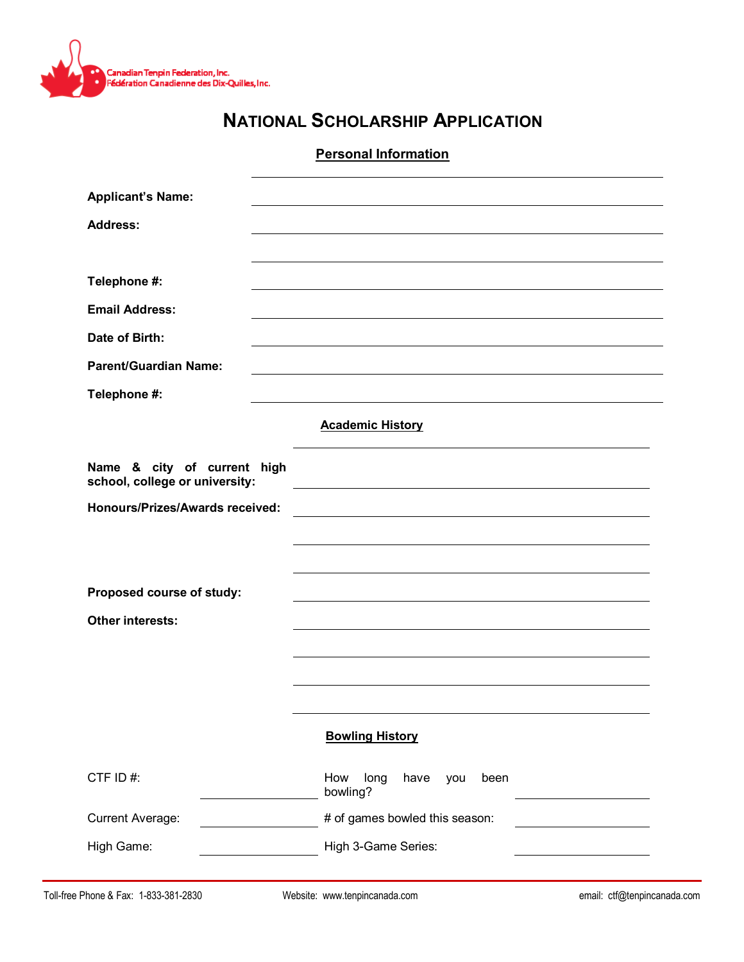

# **NATIONAL SCHOLARSHIP APPLICATION**

#### **Personal Information**

| <b>Applicant's Name:</b>                                      |                                                |
|---------------------------------------------------------------|------------------------------------------------|
| <b>Address:</b>                                               |                                                |
|                                                               |                                                |
| Telephone #:                                                  |                                                |
| <b>Email Address:</b>                                         |                                                |
| Date of Birth:                                                |                                                |
| <b>Parent/Guardian Name:</b>                                  |                                                |
| Telephone #:                                                  |                                                |
|                                                               | <b>Academic History</b>                        |
| Name & city of current high<br>school, college or university: |                                                |
| <b>Honours/Prizes/Awards received:</b>                        |                                                |
|                                                               |                                                |
|                                                               |                                                |
| Proposed course of study:                                     |                                                |
| <b>Other interests:</b>                                       |                                                |
|                                                               |                                                |
|                                                               |                                                |
|                                                               |                                                |
|                                                               | <b>Bowling History</b>                         |
| CTF ID#:                                                      | long<br>How<br>have<br>been<br>you<br>bowling? |
| <b>Current Average:</b>                                       | # of games bowled this season:                 |
| High Game:                                                    | High 3-Game Series:                            |
|                                                               |                                                |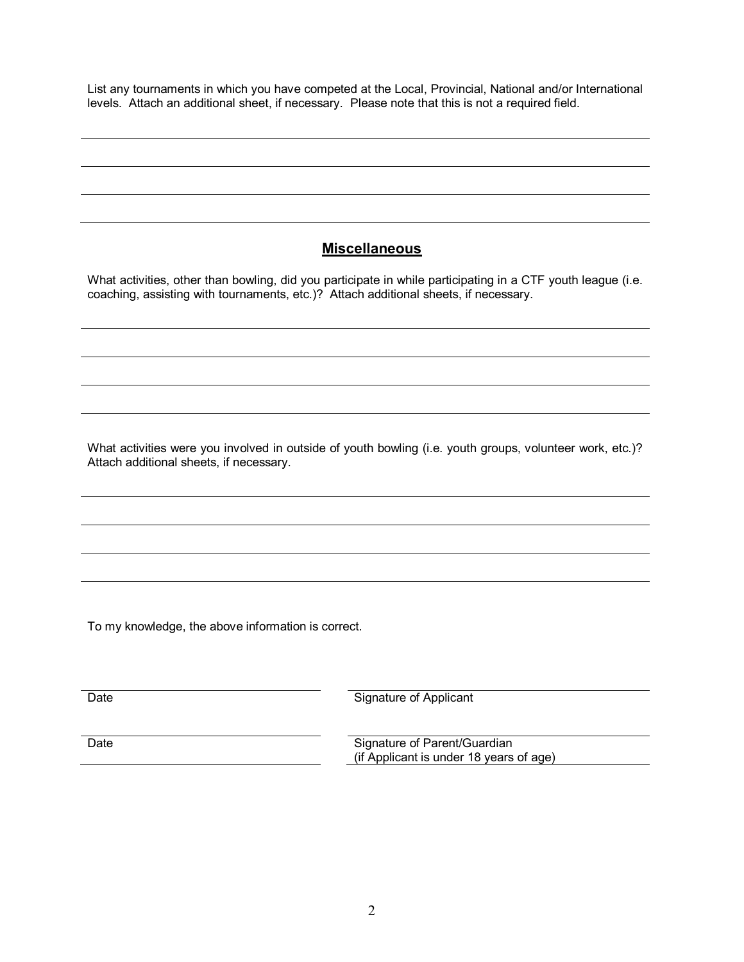List any tournaments in which you have competed at the Local, Provincial, National and/or International levels. Attach an additional sheet, if necessary. Please note that this is not a required field.

#### **Miscellaneous**

What activities, other than bowling, did you participate in while participating in a CTF youth league (i.e. coaching, assisting with tournaments, etc.)? Attach additional sheets, if necessary.

What activities were you involved in outside of youth bowling (i.e. youth groups, volunteer work, etc.)? Attach additional sheets, if necessary.

To my knowledge, the above information is correct.

| Date | Signature of Applicant                                                  |
|------|-------------------------------------------------------------------------|
|      |                                                                         |
| Date | Signature of Parent/Guardian<br>(if Applicant is under 18 years of age) |